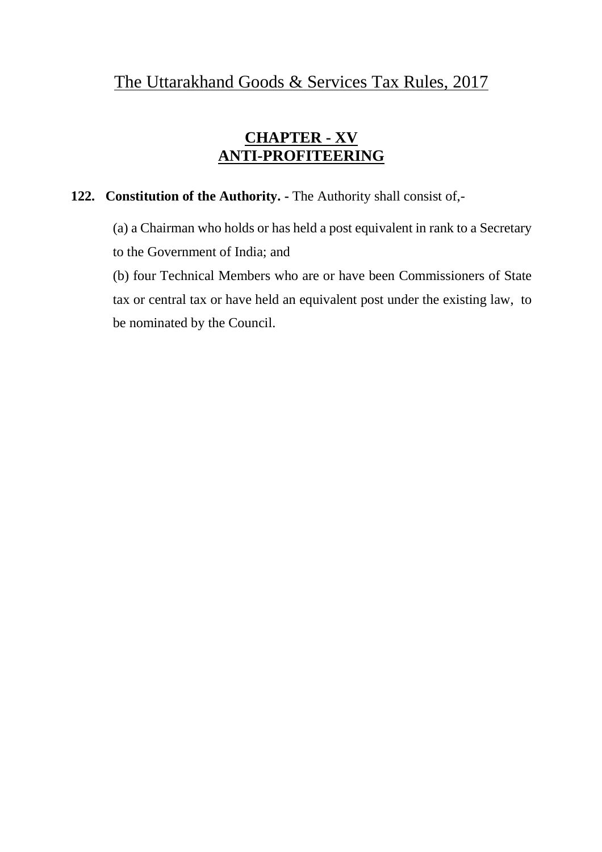#### **CHAPTER - XV ANTI-PROFITEERING**

#### **122. Constitution of the Authority. -** The Authority shall consist of,-

(a) a Chairman who holds or has held a post equivalent in rank to a Secretary to the Government of India; and

(b) four Technical Members who are or have been Commissioners of State tax or central tax or have held an equivalent post under the existing law, to be nominated by the Council.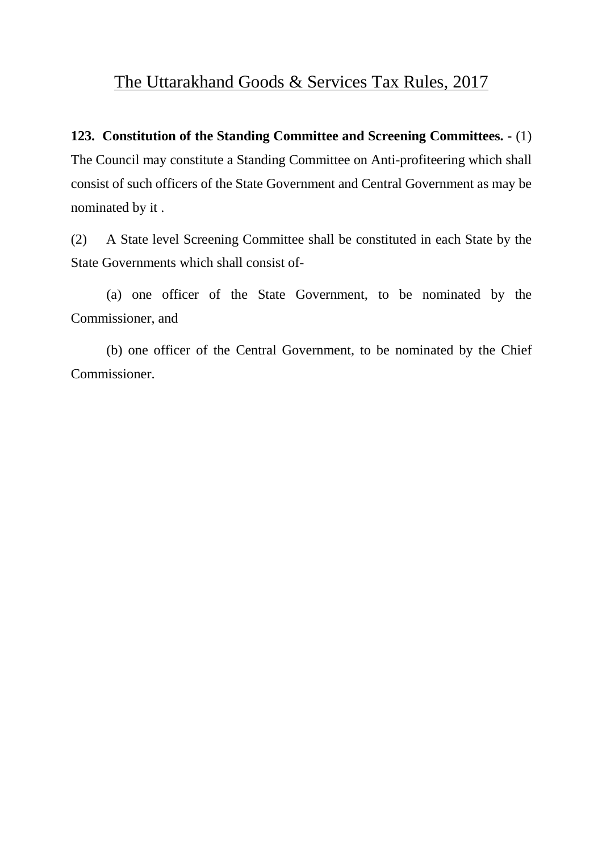**123. Constitution of the Standing Committee and Screening Committees. -** (1) The Council may constitute a Standing Committee on Anti-profiteering which shall consist of such officers of the State Government and Central Government as may be nominated by it .

(2) A State level Screening Committee shall be constituted in each State by the State Governments which shall consist of-

(a) one officer of the State Government, to be nominated by the Commissioner, and

(b) one officer of the Central Government, to be nominated by the Chief Commissioner.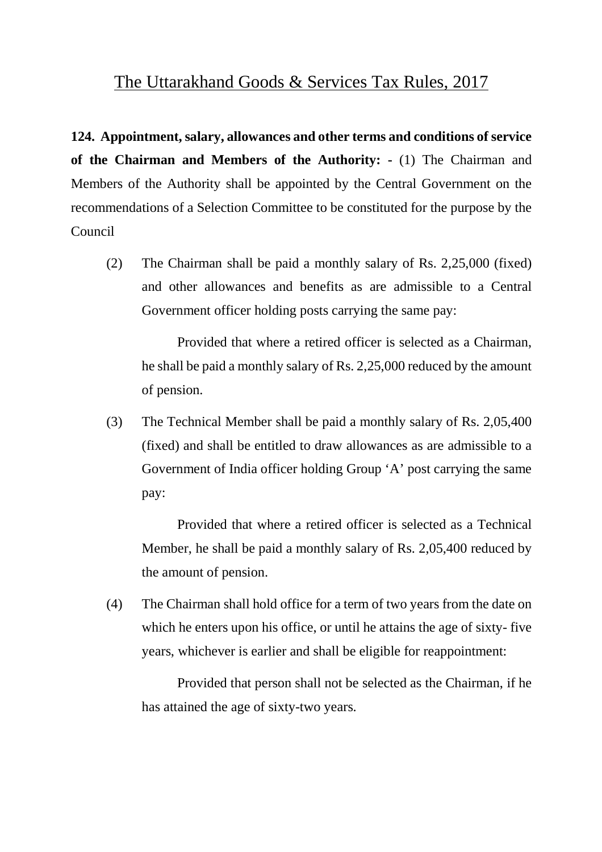**124. Appointment, salary, allowances and other terms and conditions of service of the Chairman and Members of the Authority: -** (1) The Chairman and Members of the Authority shall be appointed by the Central Government on the recommendations of a Selection Committee to be constituted for the purpose by the Council

(2) The Chairman shall be paid a monthly salary of Rs. 2,25,000 (fixed) and other allowances and benefits as are admissible to a Central Government officer holding posts carrying the same pay:

Provided that where a retired officer is selected as a Chairman, he shall be paid a monthly salary of Rs. 2,25,000 reduced by the amount of pension.

(3) The Technical Member shall be paid a monthly salary of Rs. 2,05,400 (fixed) and shall be entitled to draw allowances as are admissible to a Government of India officer holding Group 'A' post carrying the same pay:

Provided that where a retired officer is selected as a Technical Member, he shall be paid a monthly salary of Rs. 2,05,400 reduced by the amount of pension.

(4) The Chairman shall hold office for a term of two years from the date on which he enters upon his office, or until he attains the age of sixty- five years, whichever is earlier and shall be eligible for reappointment:

Provided that person shall not be selected as the Chairman, if he has attained the age of sixty-two years.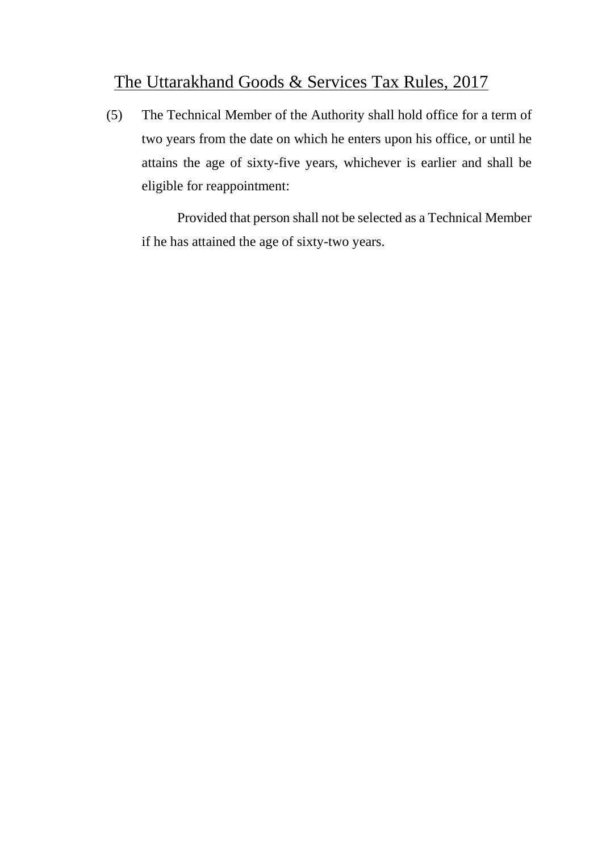(5) The Technical Member of the Authority shall hold office for a term of two years from the date on which he enters upon his office, or until he attains the age of sixty-five years, whichever is earlier and shall be eligible for reappointment:

Provided that person shall not be selected as a Technical Member if he has attained the age of sixty-two years.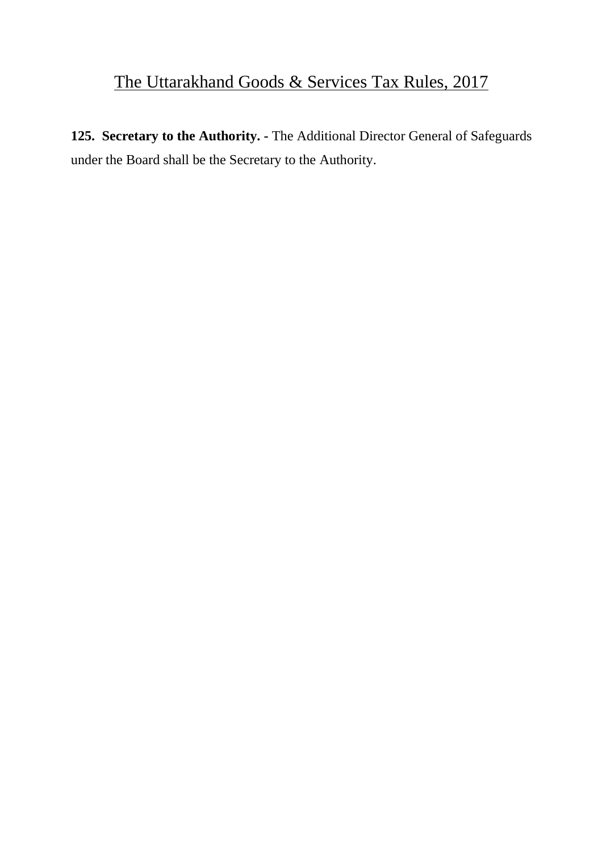**125. Secretary to the Authority. -** The Additional Director General of Safeguards under the Board shall be the Secretary to the Authority.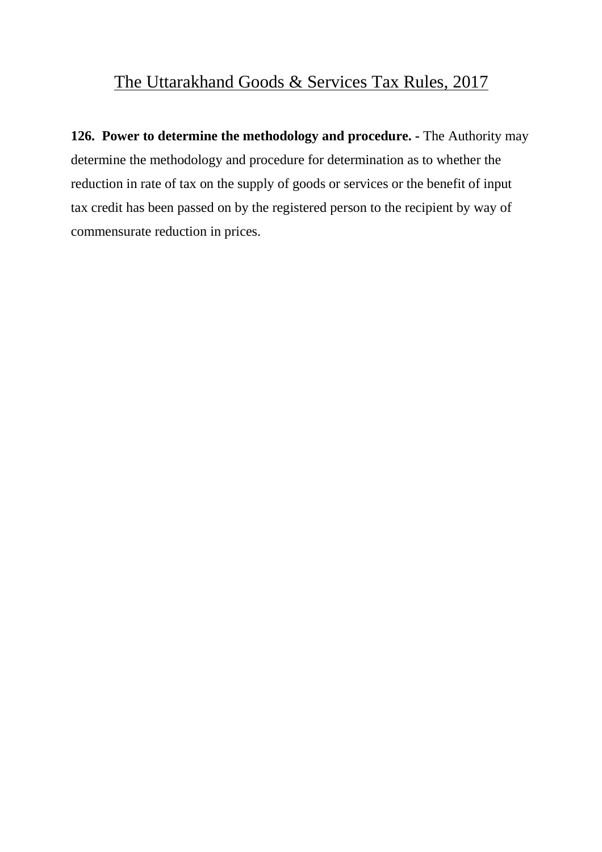**126. Power to determine the methodology and procedure. -** The Authority may determine the methodology and procedure for determination as to whether the reduction in rate of tax on the supply of goods or services or the benefit of input tax credit has been passed on by the registered person to the recipient by way of commensurate reduction in prices.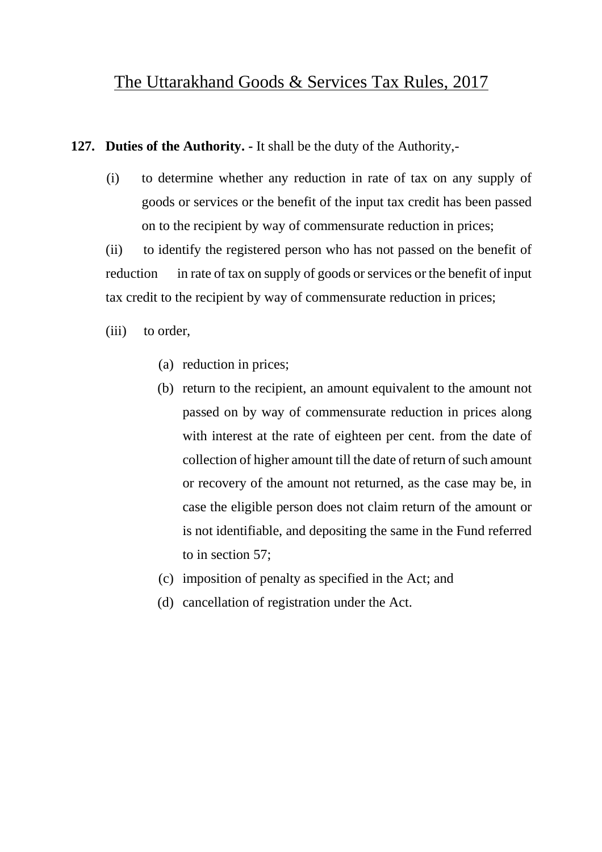**127. Duties of the Authority. -** It shall be the duty of the Authority,-

(i) to determine whether any reduction in rate of tax on any supply of goods or services or the benefit of the input tax credit has been passed on to the recipient by way of commensurate reduction in prices;

(ii) to identify the registered person who has not passed on the benefit of reduction in rate of tax on supply of goods or services or the benefit of input tax credit to the recipient by way of commensurate reduction in prices;

(iii) to order,

- (a) reduction in prices;
- (b) return to the recipient, an amount equivalent to the amount not passed on by way of commensurate reduction in prices along with interest at the rate of eighteen per cent. from the date of collection of higher amount till the date of return of such amount or recovery of the amount not returned, as the case may be, in case the eligible person does not claim return of the amount or is not identifiable, and depositing the same in the Fund referred to in section 57;
- (c) imposition of penalty as specified in the Act; and
- (d) cancellation of registration under the Act.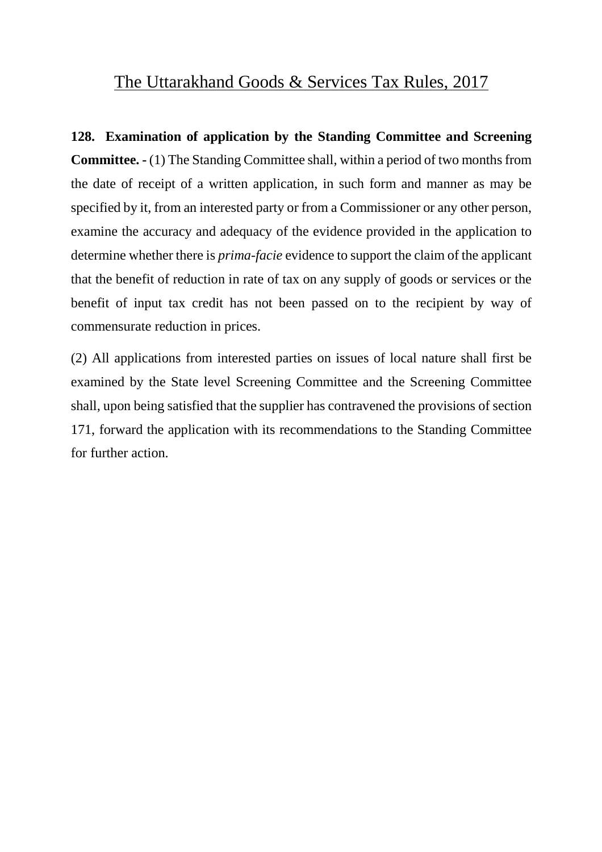**128. Examination of application by the Standing Committee and Screening Committee. -** (1) The Standing Committee shall, within a period of two months from the date of receipt of a written application, in such form and manner as may be specified by it, from an interested party or from a Commissioner or any other person, examine the accuracy and adequacy of the evidence provided in the application to determine whether there is *prima-facie* evidence to support the claim of the applicant that the benefit of reduction in rate of tax on any supply of goods or services or the benefit of input tax credit has not been passed on to the recipient by way of commensurate reduction in prices.

(2) All applications from interested parties on issues of local nature shall first be examined by the State level Screening Committee and the Screening Committee shall, upon being satisfied that the supplier has contravened the provisions of section 171, forward the application with its recommendations to the Standing Committee for further action.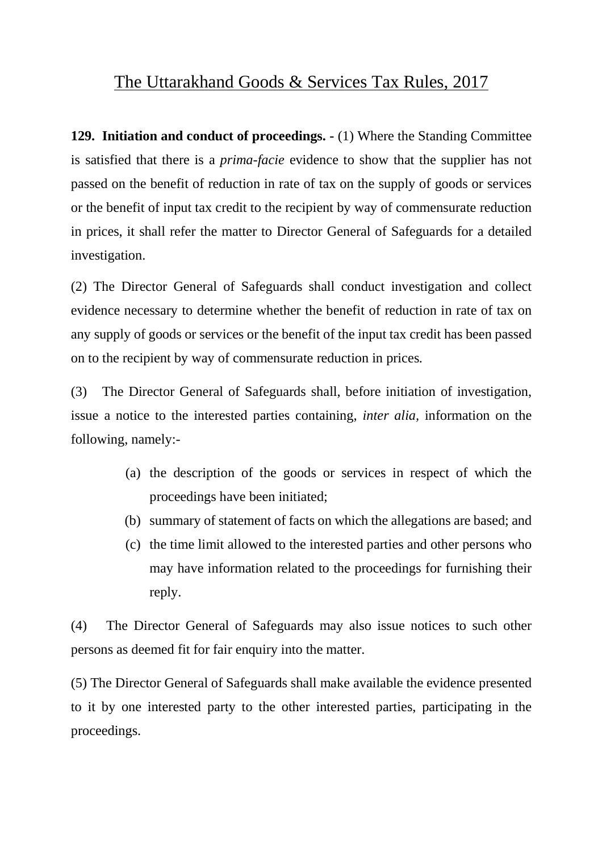**129. Initiation and conduct of proceedings. -** (1) Where the Standing Committee is satisfied that there is a *prima-facie* evidence to show that the supplier has not passed on the benefit of reduction in rate of tax on the supply of goods or services or the benefit of input tax credit to the recipient by way of commensurate reduction in prices, it shall refer the matter to Director General of Safeguards for a detailed investigation.

(2) The Director General of Safeguards shall conduct investigation and collect evidence necessary to determine whether the benefit of reduction in rate of tax on any supply of goods or services or the benefit of the input tax credit has been passed on to the recipient by way of commensurate reduction in prices.

(3) The Director General of Safeguards shall, before initiation of investigation, issue a notice to the interested parties containing, *inter alia,* information on the following, namely:-

- (a) the description of the goods or services in respect of which the proceedings have been initiated;
- (b) summary of statement of facts on which the allegations are based; and
- (c) the time limit allowed to the interested parties and other persons who may have information related to the proceedings for furnishing their reply.

(4) The Director General of Safeguards may also issue notices to such other persons as deemed fit for fair enquiry into the matter.

(5) The Director General of Safeguards shall make available the evidence presented to it by one interested party to the other interested parties, participating in the proceedings.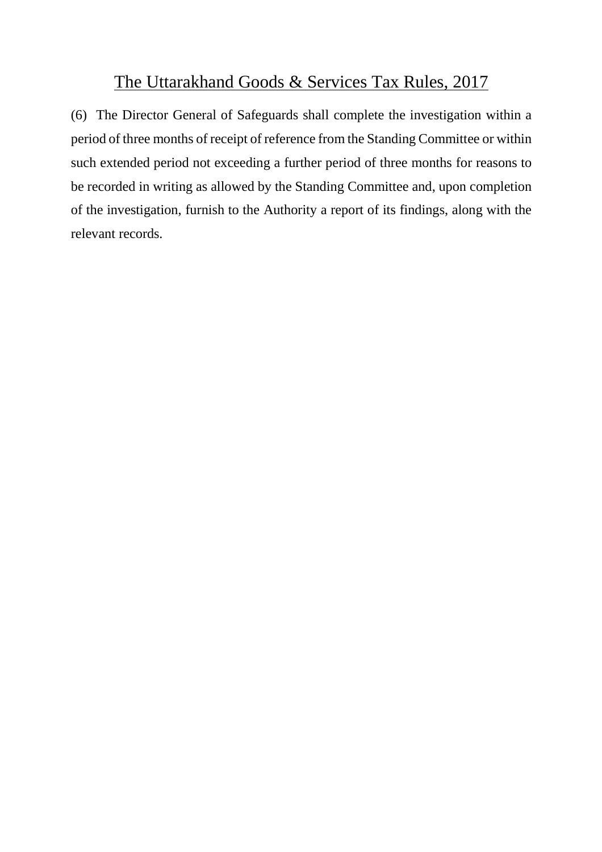(6) The Director General of Safeguards shall complete the investigation within a period of three months of receipt of reference from the Standing Committee or within such extended period not exceeding a further period of three months for reasons to be recorded in writing as allowed by the Standing Committee and, upon completion of the investigation, furnish to the Authority a report of its findings, along with the relevant records.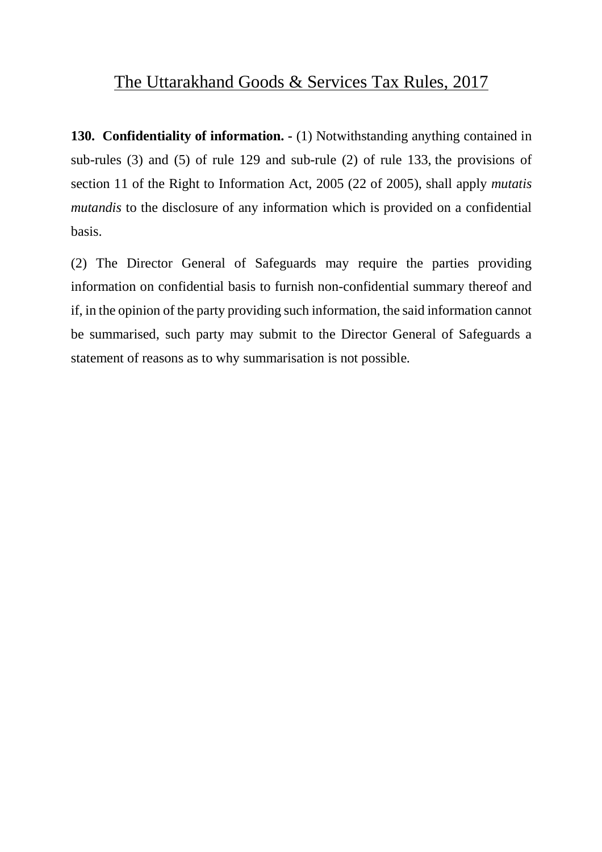**130. Confidentiality of information. -** (1) Notwithstanding anything contained in sub-rules (3) and (5) of rule 129 and sub-rule (2) of rule 133, the provisions of section 11 of the Right to Information Act, 2005 (22 of 2005), shall apply *mutatis mutandis* to the disclosure of any information which is provided on a confidential basis.

(2) The Director General of Safeguards may require the parties providing information on confidential basis to furnish non-confidential summary thereof and if, in the opinion of the party providing such information, the said information cannot be summarised, such party may submit to the Director General of Safeguards a statement of reasons as to why summarisation is not possible.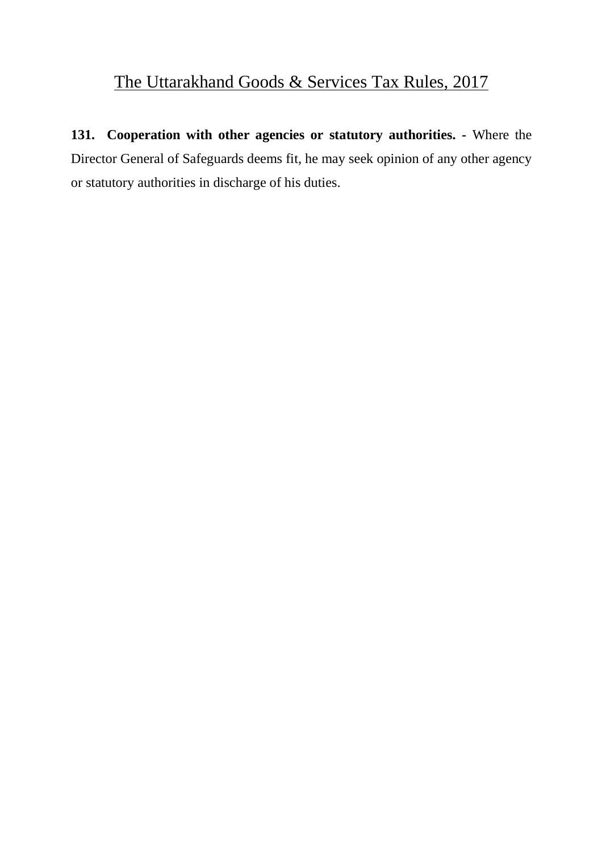**131. Cooperation with other agencies or statutory authorities. -** Where the Director General of Safeguards deems fit, he may seek opinion of any other agency or statutory authorities in discharge of his duties.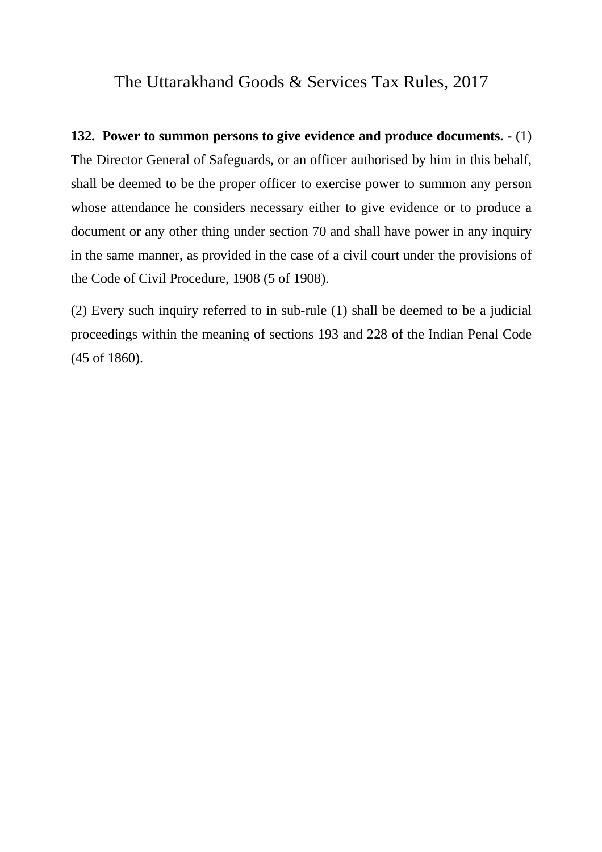**132. Power to summon persons to give evidence and produce documents. -** (1) The Director General of Safeguards, or an officer authorised by him in this behalf, shall be deemed to be the proper officer to exercise power to summon any person whose attendance he considers necessary either to give evidence or to produce a document or any other thing under section 70 and shall have power in any inquiry in the same manner, as provided in the case of a civil court under the provisions of the Code of Civil Procedure, 1908 (5 of 1908).

(2) Every such inquiry referred to in sub-rule (1) shall be deemed to be a judicial proceedings within the meaning of sections 193 and 228 of the Indian Penal Code (45 of 1860).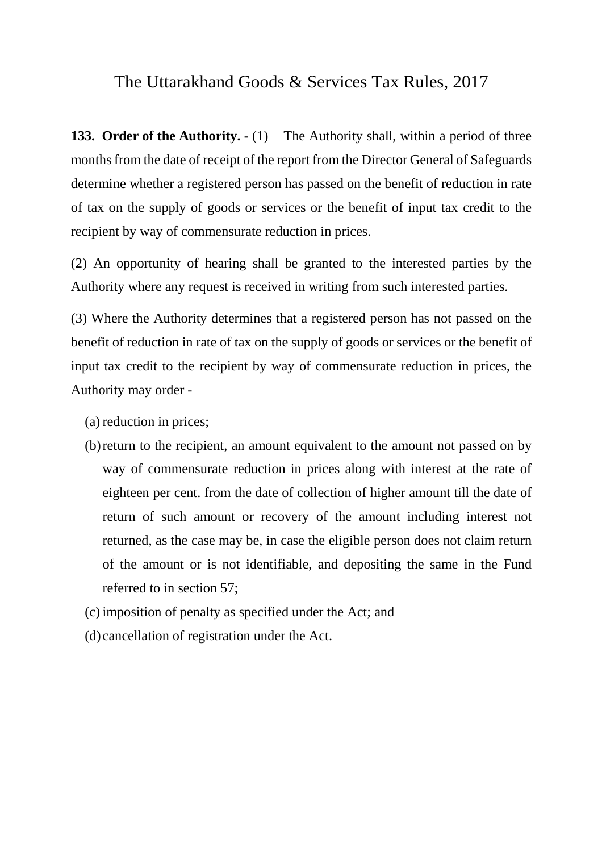**133. Order of the Authority. -** (1) The Authority shall, within a period of three months from the date of receipt of the report from the Director General of Safeguards determine whether a registered person has passed on the benefit of reduction in rate of tax on the supply of goods or services or the benefit of input tax credit to the recipient by way of commensurate reduction in prices.

(2) An opportunity of hearing shall be granted to the interested parties by the Authority where any request is received in writing from such interested parties.

(3) Where the Authority determines that a registered person has not passed on the benefit of reduction in rate of tax on the supply of goods or services or the benefit of input tax credit to the recipient by way of commensurate reduction in prices, the Authority may order -

- (a) reduction in prices;
- (b)return to the recipient, an amount equivalent to the amount not passed on by way of commensurate reduction in prices along with interest at the rate of eighteen per cent. from the date of collection of higher amount till the date of return of such amount or recovery of the amount including interest not returned, as the case may be, in case the eligible person does not claim return of the amount or is not identifiable, and depositing the same in the Fund referred to in section 57;
- (c) imposition of penalty as specified under the Act; and
- (d) cancellation of registration under the Act.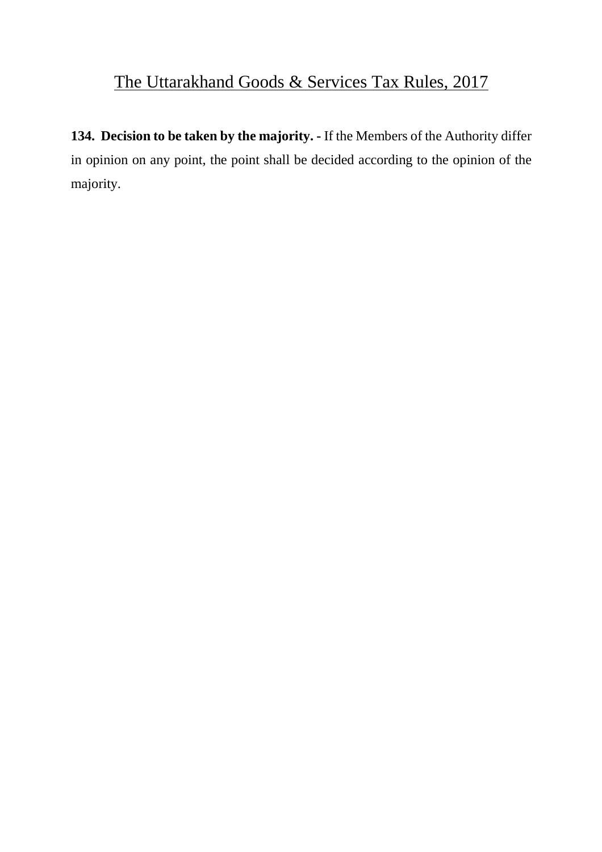**134. Decision to be taken by the majority. -** If the Members of the Authority differ in opinion on any point, the point shall be decided according to the opinion of the majority.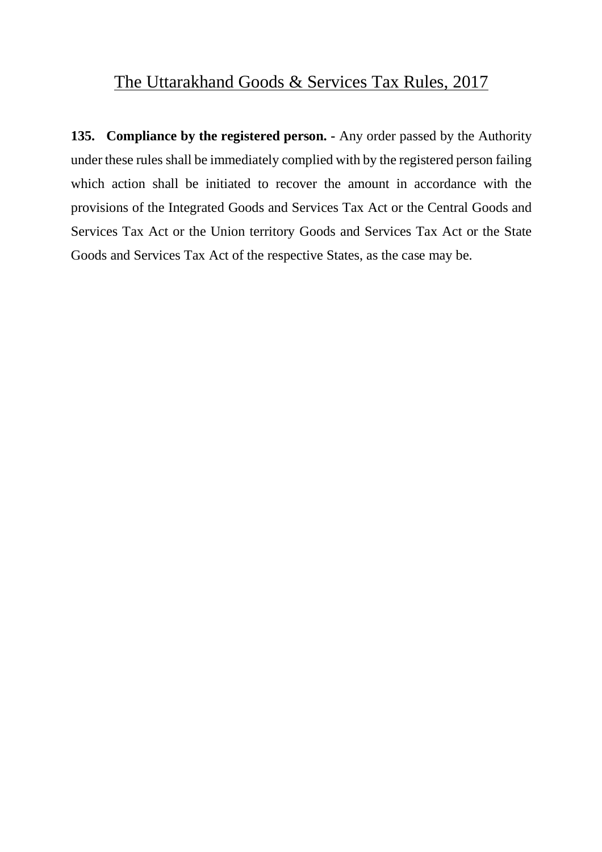**135. Compliance by the registered person. -** Any order passed by the Authority under these rules shall be immediately complied with by the registered person failing which action shall be initiated to recover the amount in accordance with the provisions of the Integrated Goods and Services Tax Act or the Central Goods and Services Tax Act or the Union territory Goods and Services Tax Act or the State Goods and Services Tax Act of the respective States, as the case may be.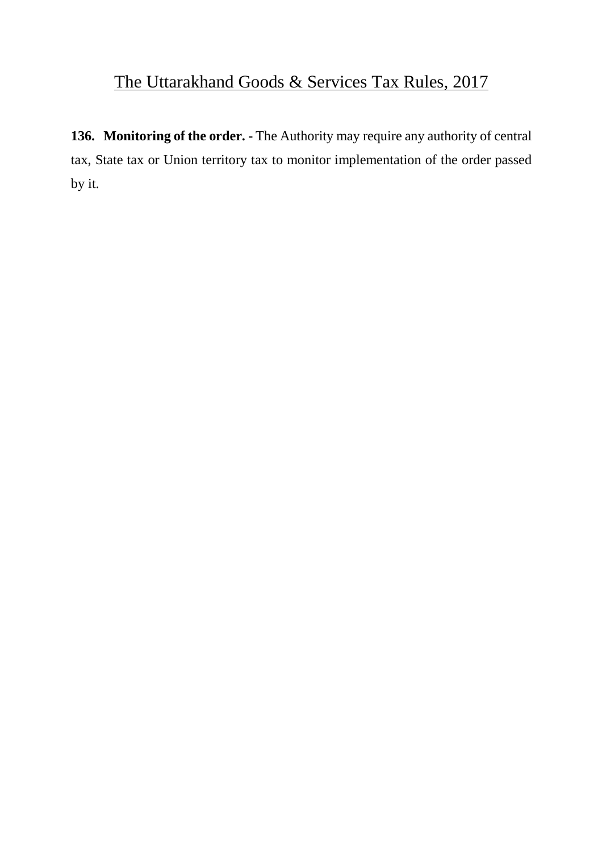**136. Monitoring of the order. -** The Authority may require any authority of central tax, State tax or Union territory tax to monitor implementation of the order passed by it.